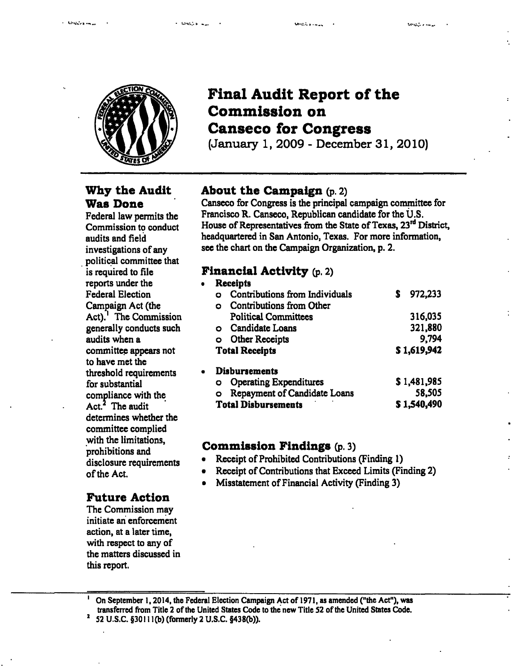

# **Final Audit Report of the Commission on Canseco for Congress**

(January 1, 2009 - December 31, 2010)

# **Why the Audit Was Done**

Federal law permits the Commission to conduct audits and field investigations of any political committee that is required to file reports under the Federal Election Campaign Act (the Act).' The Commission generally conducts such audits when a committee appears not to have met the threshold requirements for substantial compliance with the  $Act.<sup>2</sup>$  The audit determines whether the committee complied with the limitations, prohibitions and disclosure requirements of the Act.

# **Future Action**

The Commission may initiate an enforcement action, at a later time, with respect to any of the matters discussed in this report.

# **About the Campaign (p. 2)**

Canseco for Congress is the principal campaign committee for Francisco R. Canseco, Republican candidate for the U.S. House of Representatives from the State of Texas, 23<sup>rd</sup> District, headquartered in San Antonio, Texas. For more information, see the chart on the Campaign Organization, p. 2.

# **Financial Activity (p. 2)**

| $\bullet$ | <b>Receipts</b>                               |                              |              |
|-----------|-----------------------------------------------|------------------------------|--------------|
|           | Contributions from Individuals<br>$\mathbf C$ |                              | 972,233<br>S |
|           | Contributions from Other<br>$\circ$           |                              |              |
|           | <b>Political Committees</b>                   |                              | 316,035      |
|           | Candidate Loans<br>$\circ$                    |                              | 321,880      |
|           | <b>Other Receipts</b><br>$\circ$              |                              | 9,794        |
|           | <b>Total Receipts</b>                         |                              | \$1,619,942  |
|           | <b>Disbursements</b>                          |                              |              |
|           | <b>Operating Expenditures</b><br>O            |                              | \$1,481,985  |
|           | O                                             | Repayment of Candidate Loans | 58,505       |
|           | <b>Total Disbursements</b>                    |                              | \$1,540,490  |

# Commission Findings (p. 3)

- Receipt of Prohibited Contributions (Finding 1)
- Receipt of Contributions that Exceed Limits (Finding 2)
- Misstatement of Financial Activity (Finding 3)

On September 1,2014, the Federal Election Campaign Act of 1971, as amended ("the Act"), was transferred from Title 2 of the United States Code to the new Title S2 of the United States Code. ' 52 U.S.C. §30111 (b) (formerly 2 U.S.C. §438(b)).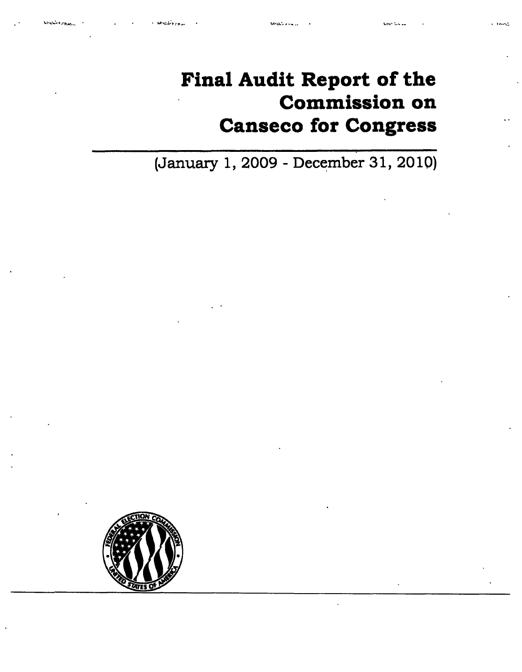# **Final Audit Report of the Commission on Canseco for Congress**

**(January 1, 2009 - December 31, 2010)** 

**MARCHARD** 

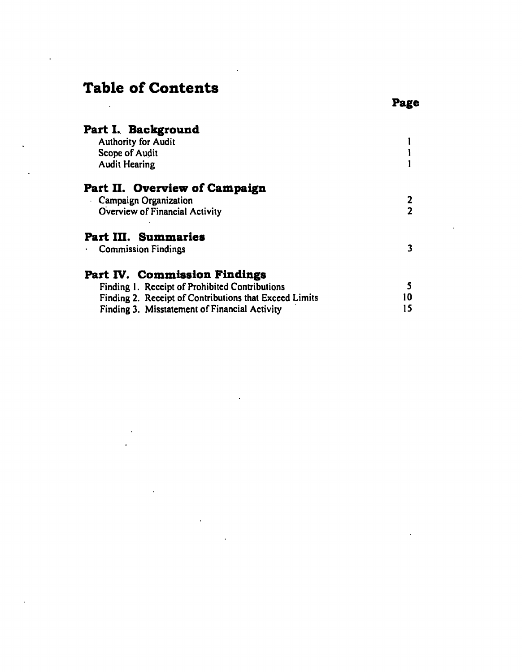# **Table of Contents**

| Part I. Background                                     |                         |  |
|--------------------------------------------------------|-------------------------|--|
| <b>Authority for Audit</b>                             |                         |  |
| Scope of Audit                                         |                         |  |
| <b>Audit Hearing</b>                                   |                         |  |
| Part II. Overview of Campaign                          |                         |  |
| Campaign Organization                                  |                         |  |
| Overview of Financial Activity                         | $\overline{\mathbf{2}}$ |  |
| Part III. Summaries                                    |                         |  |
| Commission Findings                                    | 3                       |  |
| Part IV. Commission Findings                           |                         |  |
| Finding 1. Receipt of Prohibited Contributions         | 5                       |  |
| Finding 2. Receipt of Contributions that Exceed Limits | 10                      |  |
| Finding 3. Misstatement of Financial Activity          | 15                      |  |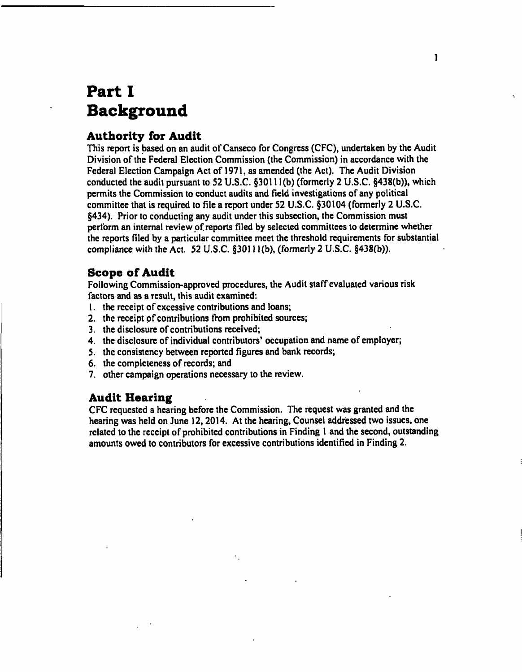# Part I **Background**

# **Authority for Audit**

This report is tased on an audit of Canseco for Congress (CFC), undertaken by the Audit Division of the Federal Election Commission (the Commission) in accordance with the Federal Election Campaign Act of 1971, as amended (the Act). The Audit Division conducted the audit pursuant to 52 U.S.C. §30111(b) (formerly 2 U.S.C. §438(b)), which permits the Commission to conduct audits and field investigations of any political committee that is required to file a report under 52 U.S.C. §30104 (formerly 2 U.S.C. §434). Prior to conducting any audit under this subsection, the Commission must perform an internal review of reports filed by selected committees to determine whether the reports filed by a particular committee meet the threshold requirements for substantial compliance with the Act. 52 U.S.C. §30111(b), (formerly 2 U.S.C. §438(b)).

# **Scope of Audit**

Following Commission-approved procedures, the Audit staff evaluated various risk factors and as a result, this audit examined:

- 1. the receipt of excessive contributions and loans;
- 2. the receipt of contributions from prohibited sources;
- 3. the disclosure of contributions received;
- 4. the disclosure of individual contributors' occupation and name of employer;
- 5. the consistency between reported figures and bank records;
- 6. the completeness of records; and
- 7. other campaign operations necessary to the review.

# **Audit Hearing**

CFC requested a hearing before the Commission. The request was granted and the hearing was held on June 12,2014. At the hearing. Counsel addressed two issues, one related to the receipt of prohibited contributions in Finding 1 and the second, outstanding amounts owed to contributors for excessive contributions identified in Finding 2.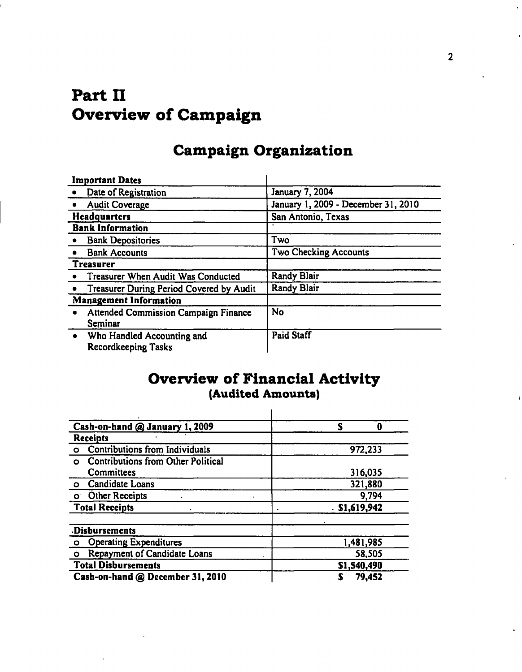# **Part II Overview of Campaign**

# **Campaign Organization**

|                     | <b>Important Dates</b>                                   |                                     |  |
|---------------------|----------------------------------------------------------|-------------------------------------|--|
|                     | Date of Registration                                     | <b>January 7, 2004</b>              |  |
|                     | <b>Audit Coverage</b>                                    | January 1, 2009 - December 31, 2010 |  |
| <b>Headquarters</b> |                                                          | San Antonio, Texas                  |  |
|                     | <b>Bank Information</b>                                  |                                     |  |
|                     | <b>Bank Depositories</b>                                 | Two                                 |  |
|                     | <b>Bank Accounts</b>                                     | Two Checking Accounts               |  |
|                     | <b>Treasurer</b>                                         |                                     |  |
|                     | • Treasurer When Audit Was Conducted                     | Randy Blair                         |  |
|                     | Treasurer During Period Covered by Audit                 | <b>Randy Blair</b>                  |  |
|                     | <b>Management Information</b>                            |                                     |  |
|                     | <b>Attended Commission Campaign Finance</b><br>Seminar   | <b>No</b>                           |  |
| $\bullet$           | Who Handled Accounting and<br><b>Recordkeeping Tasks</b> | <b>Paid Staff</b>                   |  |

# **Overview of Financial Activity (Audited Amounts)**

| Cash-on-hand @ January 1, 2009                       | S<br>0          |
|------------------------------------------------------|-----------------|
| <b>Receipts</b>                                      |                 |
| Contributions from Individuals<br>$\circ$            | 972,233         |
| <b>Contributions from Other Political</b><br>$\circ$ |                 |
| Committees                                           | 316,035         |
| <b>Candidate Loans</b><br>$\circ$                    | 321,880         |
| o Other Receipts                                     | 9,794           |
| <b>Total Receipts</b>                                | $.$ \$1,619,942 |
| Disbursements                                        |                 |
| <b>Operating Expenditures</b><br>$\circ$             | 1,481,985       |
| Repayment of Candidate Loans<br>O                    | 58,505          |
| <b>Total Disbursements</b>                           | \$1,540,490     |
| Cash-on-hand @ December 31, 2010                     | 79,452          |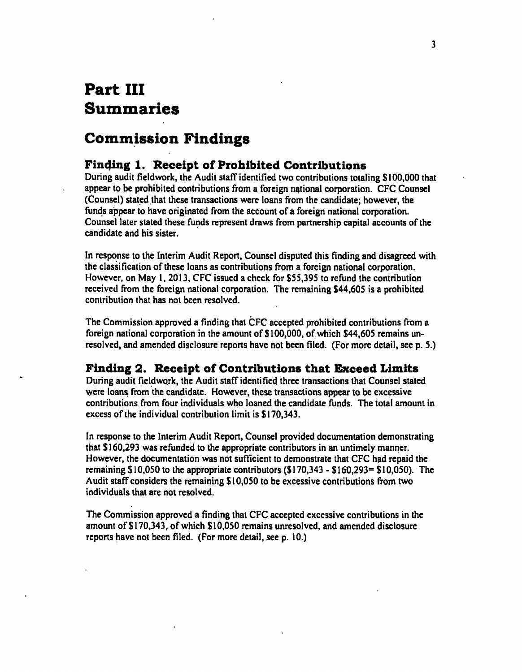# **Part III Summaries**

# **Commission Findings**

# **Finding 1. Receipt of Prohibited Contributions**

During audit fieidwork, the Audit staff identified two contributions totaling \$100,000 that appear to be prohibited contributions from a foreign national corporation. CFC Counsel (Counsel) stated that these transactions were loans from the candidate: however, the funds appear to have originated from the account of a foreign national corporation. Counsel later stated these funds represent draws from partnership capital accounts of the candidate and his sister.

In response to the Interim Audit Report, Counsel disputed this finding and disagreed with the classification of these loans as contributions from a foreign national corporation. However, on May 1. 2013, CFC issued a check for \$55,395 to refund the contribution received from the foreign national corporation. The remaining \$44,605 is a prohibited contribution that has not been resolved.

The Commission approved a finding that CFC accepted prohibited contributions from a foreign national corporation in the amount of \$100,000, of. which \$44,605 remains unresolved, and amended disclosure reports have not been filed. (For more detail, see p. 5.)

# **Finding 2. Receipt of Contributions that Exceed Limits**

During audit fieidwork, the Audit staff identified three transactions that Counsel stated were loans from the candidate. However, these transactions appear to be excessive contributions from four individuals who loaned the candidate funds. The total amount in excess of the individual contribution limit is \$170,343.

In response to the Interim Audit Report, Counsel provided documentation demonstrating that \$160,293 was refunded to the appropriate contributors in an untimely manner. However, the documentation was not sufficient to demonstrate that CFC had repaid the remaining  $$10,050$  to the appropriate contributors  $$170,343 - $160,293 = $10,050$ . The Audit staff considers the remaining \$10,050 to be excessive contributions from two individuals that are not resolved.

The Commission approved a finding that CFC accepted excessive contributions in the amount of \$170,343, of which \$10,050 remains unresolved, and amended disclosure reports have not been filed. (For more detail, see p. 10.)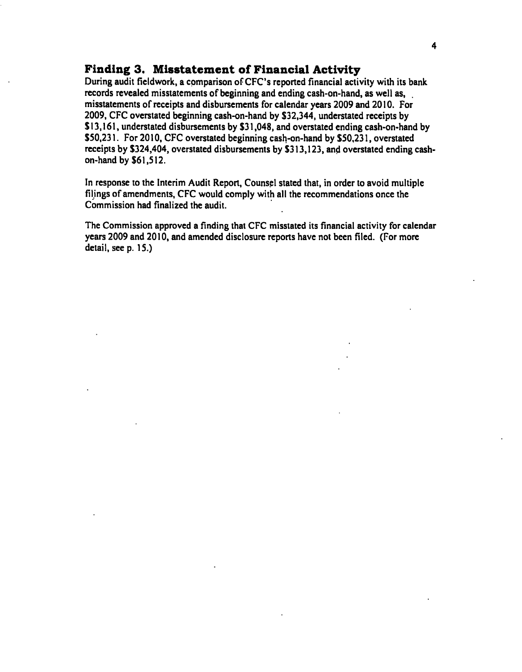# **Finding 3. Misstatement of Financial Activity**

**During audit fieldwork, a comparison oFCFC's reported financial activity with its bank records revealed misstatements of beginning and ending cash-on-hand, as well as, misstatements of receipts and disbursements for calendar years 2009 and 2010. For 2009, CFC overstated beginning cash-on-hand by \$32,344, understated receipts by \$13,161, understated disbursements by \$31,048, and overstated ending cash-on-hand by \$50,231. For 2010, CFC overstated beginning cash-on-hand by \$50,231, overstated receipts by \$324,404, overstated disbursements by \$313,123, and overstated ending cashon-hand by \$61,512.** 

**In response to the Interim Audit Report, Counsel stated that, in order to avoid multiple filings of amendments, CFC would comply with all the recommendations once the Commission had finalized the audit.** 

**The Commission approved a finding that CFC misstated its financial activity for calendar years 2009 and 2010, and amended disclosure reports have not been filed. (For more detail, see p. 15.)**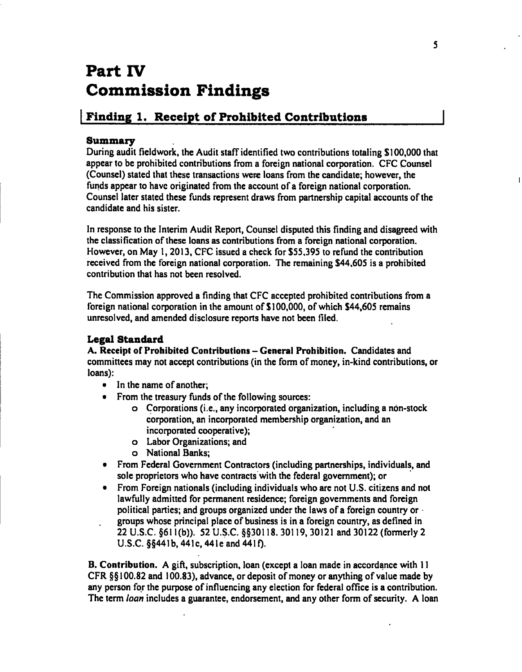# **Part IV Commission Findings**

# Finding 1. Receipt of Prohibited Contributions

# **Summary**

During audit fieldwork, the Audit staff identified two contributions totaling \$100,000 that appear to be prohibited contributions from a foreign national corporation. CFC Counsel (Counsel) stated that these transactions were loans from the candidate; however, the funds appear to have originated from the account of a foreign national corporation. Counsel later stated these funds represent draws from partnership capital accounts of the candidate and his sister.

In response to the Interim Audit Report, Counsel disputed this finding and disagreed with the classification of these loans as contributions from a foreign national corporation. However, on May 1,2013, CFC issued a check for \$55,395 to refund the contribution received from the foreign national corporation. The remaining \$44,605 is a prohibited contribution that has not been resolved.

The Commission approved a finding that CFC accepted prohibited contributions from a foreign national corporation in the amount of \$100,000, of which \$44,605 remains unresolved, and amended disclosure reports have not been filed.

# **Legal Standard**

A. Receipt of Prohibited Contributions - General Prohibition. Candidates and committees may not accept contributions (in the form of money, in-kind contributions, or loans):

- In the name of another;
- From the treasury funds of the following sources:
	- o Corporations (i.e., any incorporated organization, including a non-stock corporation, an incorporated membership organization, and an incorporated cooperative);
	- o Labor Organizations; and
	- o National Banks;
- From Federal Government Contractors (including partnerships, individuals, and sole proprietors who have contracts with the federal government); or
- From Foreign nationals (including individuals who are not U.S. citizens and not lawfully admitted for permanent residence; foreign govemments and foreign political parties; and groups organized under the laws of a foreign country or groups whose principal place of business is in a foreign country, as defined in 22 U.S.C. §611(b)). 52 U.S.C. §§30118. 30119, 30121 and 30122 (formerly 2 U.S.C.  $\S$ §441b, 441c, 441e and 441f).

B. Contribution. A gift, subscription, loan (except a loan made in accordance with 11 CFR §§ 100.82 and 100.83), advance, or deposit of money or anything of value made by any person for the purpose of influencing any election for federal office is a contribution. The term *loan* includes a guarantee, endorsement, and any other form of security. A loan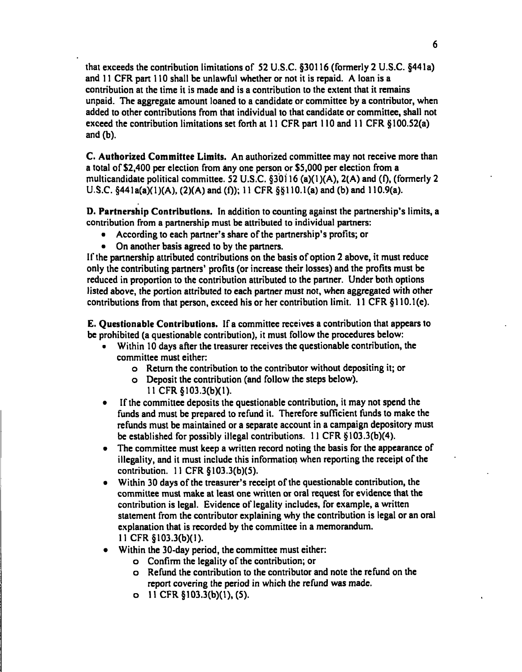thai exceeds the contribution limitations of S2 U.S.C. §30116 (formerly 2 U.S.C. §44la) and 11 CFR part 110 shall be unlawful whether or not it is repaid. A loan is a contribution at the time it is made and is a contribution to the extent that it remains unpaid. The aggregate amount loaned to a candidate or committee by a contributor, when added to other contributions from that individual to that candidate or committee, shall not exceed the contribution limitations set forth at 11 CFR part 110 and 11 CFR §100.S2(a) and (b).

C. Authorized Committee Limits. An authorized committee may not receive more than a total of \$2,400 per election from any one person or \$S,000 per election from a multicandidate political committee. S2 U.S.C. §30116 (a)(1)(A), 2(A) and (0, (formerly 2 U.S.C.  $§441a(a)(1)(A), (2)(A)$  and (f)); 11 CFR  $§§110.1(a)$  and (b) and 110.9(a).

D. Partnership Contributions. In addition to counting against the partnership's limits, a contribution from a partnership must be attributed to individual partners:

- According to each partner's share of the partnership's profits; or
- On another basis agreed to by the partners.

If the partnership attributed contributions on the basis of option 2 above, it must reduce only the contributing partners' profits (or increase their losses) and the profits must be reduced in proportion to the contribution attributed to the partner. Under both options listed above, the portion attributed to each partner must not, when aggregated with other contributions from that person, exceed his or her contribution limit. 11 CFR §110.1(e).

E. Questionable Contributions. If a committee receives a contribution that appears to be prohibited (a questionable contribution), it must follow the procedures below:

- Within ID days after the treasurer receives the questionable contribution, the committee must either:
	- o Return the contribution to the contributor without depositing it; or
	- o Deposit the contribution (and follow the steps below). 11 CFR § 103.3(b)(1).
- If the committee deposits the questionable contribution, it may not spend the funds and must be prepared to refund it. Therefore sufficient funds to make the refunds must be maintained or a separate account in a campaign depository must be established for possibly illegal contributions. 11 CFR § 103.3(b)(4).
- The committee must keep a written record noting the basis for the appearance of illegality, and it must include this information when reporting the receipt of the contribution. 11 CFR §103.3(b)(S).
- Within 30 days of the treasurer's receipt of the questionable contribution, the committee must make at least one written or oral request for evidence that the contribution is legal. Evidence of legality includes, for example, a written statement from the contributor explaining why the contribution is legal or an oral explanation that is recorded by the committee in a memorandum. 11 CFR §103.3(b)(1).
- Within the 30-day period, the committee must either:
	- o Confirm the legality of the contribution; or
	- o Refund the contribution to the contributor and note the refund on the report covering the period in which the refund was made,
	- o 11 CFR§103.3(b)(l),(5).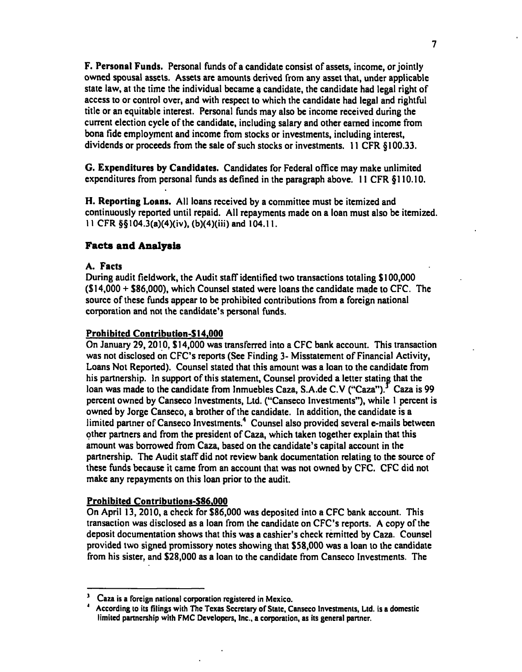F. Personal Funds. Personal funds of a candidate consist of assets, income, or jointly owned spousal assets. Assets are amounts derived from any asset that, under applicable state law, at the time the individual became a candidate, the candidate had legal right of access to or control over, and with respect to which the candidate had legal and rightful title or an equitable interest. Personal funds may also be income received during the current election cycle of the candidate, including salary and other earned income from bona fide employment and income from stocks or investments, including interest, dividends or proceeds from the sale of such stocks or investments. 11 CFR § 100.33.

G. Expenditures by Candidates. Candidates for Federal office may make unlimited expenditures from personal funds as defined in the paragraph above. 11 CFR §110.10.

H. Reporting Loans. All loans received by a committee must be itemized and continuously reported until repaid. All repayments made on a loan must also be itemized. 11 CFR §§104.3(a)(4)(iv). (b)(4)(iii) and 104.11.

#### **Facts and Analysis**

#### A. Facts

During audit fieldwork, the Audit staff identified two transactions totaling \$100,000 (\$14,000 + \$86,000), which Counsel stated were loans the candidate made to CFG. The source of these funds appear to be prohibited contributions from a foreign national corporation and not the candidate's personal funds.

#### Prohibited Contribution-\$ 14.000

On January 29,2010, \$14,000 was transferred into a CFC bank account. This transaction was not disclosed on CFC's reports (See Finding 3- Misstatement of Financial Activity, Loans Not Reported). Counsel stated that this amount was a loan to the candidate from his partnership. In support of this statement. Counsel provided a letter stating that the loan was made to the candidate from Inmuebles Caza, S.A.de C.V ("Caza").<sup>3</sup> Caza is 99 percent owned by Canseco Investments, Ltd. ("Canseco Investments"), while 1 percent is owned by Jorge Canseco, a brother of the candidate. In addition, the candidate is a limited partner of Canseco Investments.<sup>4</sup> Counsel also provided several e-mails between other partners and from the president of Caza, which taken together explain that this amount was borrowed from Caza, based on the candidate's capital account in the partnership. The Audit staff did not review bank documentation relating to the source of these funds because it came from an account that was not owned by CFC. CFC did not make any repayments on this loan prior to the audit.

#### Prohibited Contributions-\$86.000

On April 13, 2010, a check for \$86,000 was deposited into a CFC bank account. This transaction was disclosed as a loan from the candidate on CFC's reports. A copy of the deposit documentation shows that this was a cashier's check remitted by Caza. Counsel provided two signed promissory notes showing that \$58,000 was a loan to the candidate from his sister, and \$28,000 as a loan to the candidate from Canseco Investments. The

**<sup>&#</sup>x27; Caza is a Foreign national corporation registered in Mexico.** 

**<sup>\*</sup> According to its filings with The Texas Secretary of State, Canseco Investments, Ltd. is a domestic**  limited partnership with FMC Developers, Inc., a corporation, as its general partner.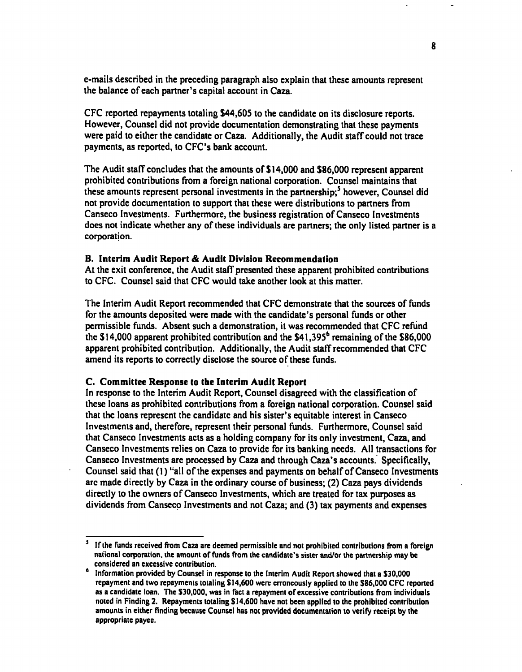e-mails described in the preceding paragraph also explain that these amounts represent the balance of each partner's capital account in Caza.

CFC reported repayments totaling S44,60S to the candidate on its disclosure reports. However, Counsel did not provide documentation demonstrating that these payments were paid to either the candidate or Caza. Additionally, the Audit staff could not trace payments, as reported, to CFC's bank account.

The Audit staff concludes that the amounts of SI 4,000 and S86,000 represent apparent prohibited contributions from a foreign national corporation. Counsel maintains that these amounts represent personal investments in the partnership;<sup>5</sup> however, Counsel did not provide documentation to support that these were distributions to partners from Canseco Investments. Furthermore, the business registration of Canseco Investments does not indicate whether any of these individuals are partners; the only listed partner is a corporation.

#### **B. Interim Audit Report & Audit Division Recommendation**

At the exit conference, the Audit staff presented these apparent prohibited contributions to CFC. Counsel said that CFC would take another look at this matter.

The Interim Audit Report recommended that CFC demonstrate that the sources of funds for the amounts deposited were made with the candidate's personal funds or other permissible funds. Absent such a demonstration, it was recommended that CFC refund the  $$14,000$  apparent prohibited contribution and the  $$41,395<sup>6</sup>$  remaining of the \$86,000 apparent prohibited contribution. Additionally, the Audit staff recommended that CFC amend its reports to correctly disclose the source of these funds.

#### **C. Committee Response to the Interim Audit Report**

In response to the Interim Audit Report, Counsel disagreed with the classification of these loans as prohibited contributions from a foreign national corporation. Counsel said that the loans represent the candidate and his sister's equitable interest in Canseco Investments and, therefore, represent their personal funds. Furthermore, Counsel said that Canseco Investments acts as a holding company for its only investment, Caza, and Canseco Investments relies on Caza to provide for its banking needs. All transactions for Canseco Investments are processed by Caza and through Caza's accounts. Specifically, Counsel said that (1) "all of the expenses and payments on behalf of Canseco Investments arc made directly by Caza in the ordinary course of business; (2) Caza pays dividends directly to the owners of Canseco Investments, which are treated for tax purposes as dividends from Canseco Investments and not Caza; and (3) tax payments and expenses

**If the funds received from Caza are deemed permissible and not prohibited contributions from a foreign national corporation, the amount of funds from the candidate's sister and/or the partnership may be considered an excessive contribution.** 

 $\bullet$ **Information provided by Counsel in response to the Interim Audit Report showed that a S30,000 repayment and two repayments totaling SI4,600 were erroneously applied to the S86,000 CFC reported as a candidate loan. The S30,000, was in fact a repayment of excessive contributions from individuals noted in Finding 2. Repayments totaling SI4,600 have not been applied to the prohibited contribution**  amounts in either finding because Counsel has not provided documentation to verify receipt by the **appropriate payee.**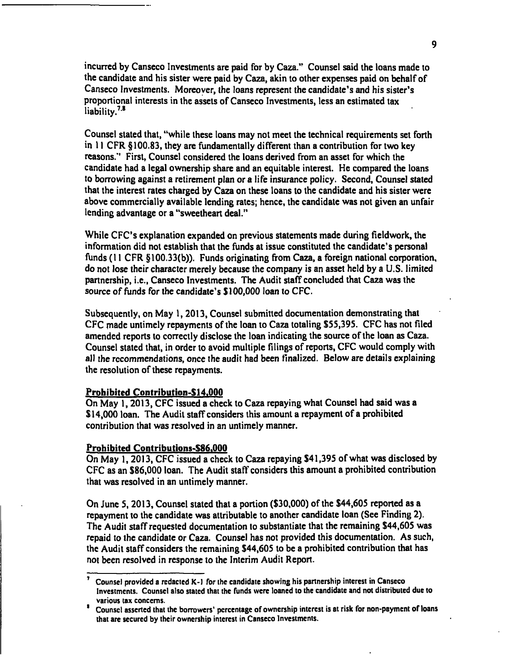incurred by Canseco Investments are paid for by Gaza." Counsel said the loans made to the candidate and his sister were paid by Caza, akin to other expenses paid on behalf of Canseco Investments. Moreover, the loans represent the candidate's and his sister's proportional interests in the assets of Canseco Investments, less an estimated tax liability. $7.8$ 

Counsel stated that, "while these loans may not meet the technical requirements set forth in 11 CFR §100.83, they are fundamentally different than a contribution for two key reasons." First, Counsel considered the loans derived from an asset for which the candidate had a legal ownership share and an equitable interest. He compared the loans to borrowing against a retirement plan or a life insurance policy. Second, Counsel stated that the interest rates charged by Caza on these loans to the candidate and his sister were above commercially available lending rates; hence, the candidate was not given an unfair lending advantage or a "sweetheart deal."

While CFC's explanation expanded on previous statements made during fieldwork, the information did not establish that the funds at issue constituted the candidate's personal funds (11 CFR §100.33(b)). Funds originating from Caza, a foreign national corporation, do not lose their character merely because the company is an asset held by a U.S. limited partnership, i.e., Canseco Investments. The Audit staff concluded that Caza was the source of funds for the candidate's SI00,000 loan to CFC.

Subsequently, on May 1,2013, Counsel submitted documentation demonstrating that CFC made untimely repayments of the loan to Caza totaling \$55,395. CFC has not filed amended reports to correctly disclose the loan indicating the source of the loan as Caza. Counsel stated that, in order to avoid multiple filings of reports, CFC would comply with all the recommendations, once the audit had been finalized. Below are details explaining the resolution of these repayments.

#### **Prohibited Contribution-Sl4.000**

On May 1,2013, CFC issued a check to Caza repaying what Counsel had said was a \$14,000 loan. The Audit staff considers this amount a repayment of a prohibited contribution that was resolved in an untimely manner.

#### **Prohibited Contributions-\$86,000**

On May I, 2013, CFC issued a check to Caza repaying \$41,395 of what was disclosed by CFC as an \$86,000 loan. The Audit staff considers this amount a prohibited contribution that was resolved in an untimely manner.

On June 5,2013, Counsel stated that a portion (\$30,000) of the \$44,605 reported as a repayment to the candidate was attributable to another candidate loan (See Finding 2). The Audit staff requested documentation to substantiate that the remaining \$44,605 was repaid to the candidate or Caza. Counsel has not provided this documentation. As such, the Audit staff considers the remaining \$44,605 to be a prohibited contribution that has not been resolved in response to the Interim Audit Report.

**Counsel provided a redacted K-l for the candidate showing his partnership interest in Canseco investments. Counsel also stated that the funds were loaned to the candidate and not distributed due to various lax concerns.** 

**Counsel asserted that the borrowers' percentage of ownership interest is at risk for non-payment of loans that are secured by their ownership interest in Canseco Investments.**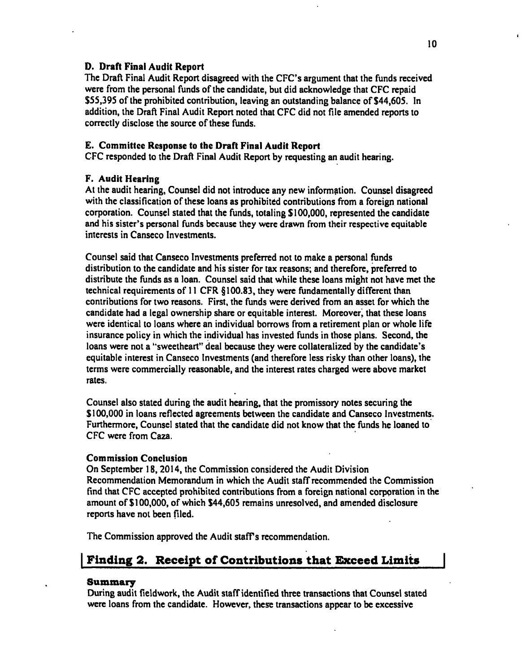# D. Draft Final Audit Report

The Draft Final Audit Report disagreed with the CFC's argument that the funds received were from the personal funds of the candidate, but did acknowledge that CFC repaid \$SS,39S of the prohibited contribution, leaving an outstanding balance of \$44,605. In addition, the Draft Final Audit Report noted that CFC did not file amended reports to correctly disclose the source of these funds.

# E. Committee Response to the Draft Final Audit Report

CFC responded to the Draft Final Audit Report by requesting an audit hearing.

# F. Audit Hearing

At the audit hearing. Counsel did not introduce any new information. Counsel disagreed with the classification of these loans as prohibited contributions from a foreign national corporation. Counsel stated that the funds, totaling \$100,000, represented the candidate and his sister's personal funds because they were drawn from their respective equitable interests in Canseco Investments.

Counsel said that Canseco Investments preferred not to make a personal funds distribution to the candidate and his sister for tax reasons; and therefore, preferred to distribute the funds as a loan. Counsel said that while these loans might not have met the technical requirements of 11 CFR §100.83, they were fundamentally different than contributions for two reasons. First, the funds were derived from an asset for which the candidate had a legal ownership share or equitable interest. Moreover, that these loans were identical to loans where an individual borrows from a retirement plan or whole life insurance policy in which the individual has invested funds in those plans. Second, the loans were not a "sweetheart" deal because they were collateralized by the candidate's equitable interest in Canseco Investments (and therefore less risky than other loans), the terms were commercially reasonable, and the interest rates charged were above market rates.

Counsel also stated during the audit hearing, that the promissory notes securing the \$100,000 in loans reflected agreements between the candidate and Canseco Investments. Furthermore, Counsel stated that the candidate did not know that the funds he loaned to CFC were from Caza.

# Commission Conclusion

On September 18,2014, the Commission considered the Audit Division Recommendation Memorandum in which the Audit staff recommended the Commission find that CFC accepted prohibited contributions from a foreign national corporation in the amount of \$100,000, of which \$44,605 remains unresolved, and amended disclosure reports have not been filed.

The Commission approved the Audit staff's recommendation.

# Finding 2. Receipt of Contributions that Exceed Limits

## Summazy

During audit fieldwork, the Audit staff identified three transactions that Counsel stated were loans from the candidate. However, these transactions appear to be excessive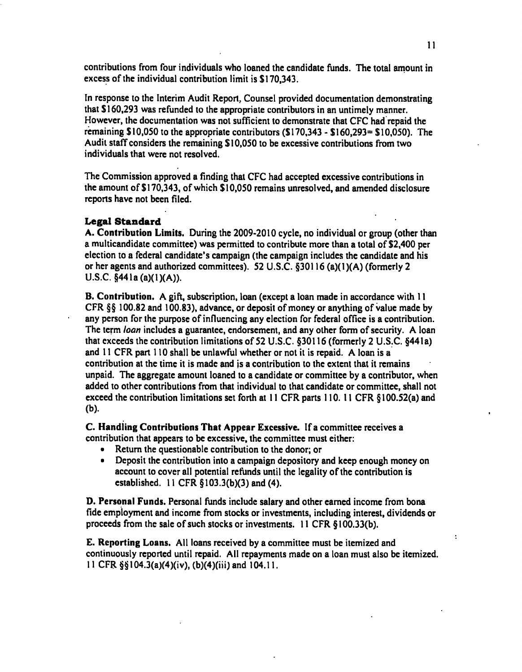contributions from four individuals who loaned the candidate funds. The total amount in excess of the individual contribution limit is \$170,343.

In response to the Interim Audit Report, Counsel provided documentation demonstrating that SI60,293 was refunded to the appropriate contributors in an untimely manner. However, the documentation was not sufficient to demonstrate that CFG had repaid the remaining \$10,050 to the appropriate contributors (\$170,343 - \$160,293= \$10,050). The Audit staff considers the remaining \$10,050 to be excessive contributions from two individuals that were not resolved.

The Commission approved a finding that CFC had accepted excessive contributions in the amount of \$170,343, of which \$10,050 remains unresolved, and amended disclosure reports have not been filed.

#### **Legal Standard**

A. Contribution Limits. During the 2009-2010 cycle, no individual or group (other than a multicandidate committee) was permitted to contribute more than a total of \$2,400 per election to a federal candidate's campaign (the campaign includes the candidate and his or her agents and authorized committees). 52 U.S.C. §30116 (a)(1)(A) (formerly 2  $U.S.C. §441a(a)(1)(A)).$ 

B. Contribution. A gift, subscription, loan (except a loan made in accordance with 11 CFR §§ 100.82 and 100.83), advance, or deposit of money or anything of value made by any person for the purpose of influencing any election for federal office is a contribution. The term *loan* includes a guarantee, endorsement, and any other form of security. A loan that exceeds the contribution limitations of 52 U.S.C. §30116 (formerly 2 U.S.C. §44Ia) and 11 CFR part 110 shall be unlawful whether or not it is repaid. A loan is a contribution at the time it is made and is a contribution to the extent that it remains unpaid. The aggregate amount loaned to a candidate or committee by a contributor, when added to other contributions from that individual to that candidate or committee, shall not exceed the contribution limitations set forth at 11 CFR parts 110. 11 CFR § 100.52(a) and (b).

C. Handling Contributions That Appear Excessive. If a committee receives a contribution that appears to be excessive, the committee must either:

- Return the questionable contribution to the donor; or<br>• Deposit the contribution into a campaign depository a
- Deposit the contribution into a campaign depository and keep enough money on account to cover all potential refunds until the legality of the contribution is established. 11 CFR § 103.3(b)(3) and (4).

D. Personal Funds. Personal funds include salary and other earned income from bona fide employment and income from stocks or investments, including interest, dividends or proceeds from the sale of such stocks or investments. 11 CFR § 100.33(b).

E. Reporting Loans. All loans received by a committee must be itemized and continuously reported until repaid. All repayments made on a loan must also be itemized. 11 CFR §§I04.3(a)(4)(iv), (b)(4)(iii) and 104.11.

÷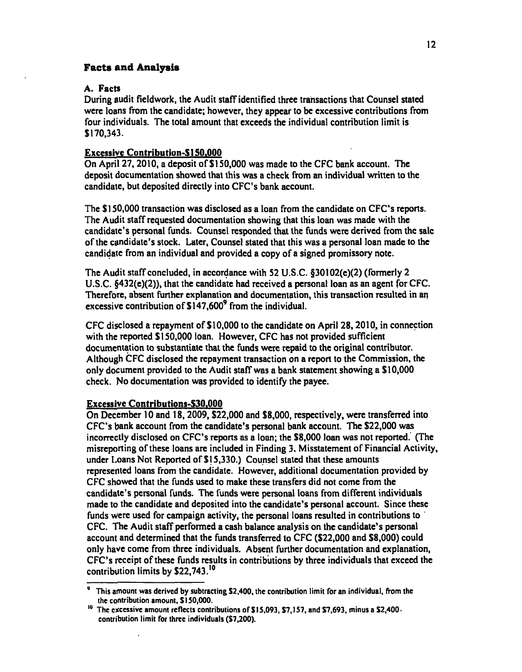## **Facts and Analysis**

# A. Facts

During audit fieidwork, the Audit staff identified three transactions that Counsel stated were loans from the candidate; however, they appear to be excessive contributions from four individuals. The total amount that exceeds the individual contribution limit is \$170,343.

# Excessive Contribution-\$150.000

On April 27,2010, a deposit of \$150,000 was made to the CFG bank account. The deposit documentation showed that this was a check from an individual written to the candidate, but deposited directly into CFC's bank account.

The \$150,000 transaction was disclosed as a loan from the candidate on CFC's reports. The Audit staff requested documentation showing that this loan was made with the candidate's personal funds. Counsel responded that the funds were derived from the sale of the candidate's stock. Later, Counsel stated that this was a personal loan made to the candidate from an individual and provided a copy of a signed promissory note.

The Audit staff concluded, in accordance with 52 U.S.C. §30102(e)(2) (formerly 2 U.S.C. §432(e)(2)), that the candidate had received a personal loan as an agent for CFC. Therefore, absent further explanation and documentation, this transaction resulted in an excessive contribution of  $$147,600^9$  from the individual.

CFC disclosed a repayment of \$10,000 to the candidate on April 28,2010, in connection with the reported \$150,000 loan. However, CFC has not provided sufficient documentation to substantiate that the funds were repaid to the original contributor. Although CFC disclosed the repayment transaction on a report to the Commission, the only document provided to the Audit staff was a bank statement showing a \$10,000 check. No documentation was provided to identify the payee.

## Excessive Contributions-\$30.000

On December 10 and 18,2009, \$22,000 and \$8,000, respectively, were transferred into CFC's bank account from the candidate's personal bank account. The \$22,000 was incorrectly disclosed on CFC's reports as a loan; the \$8,000 loan was not reported. (The misreporting of these loans are included in Finding 3. Misstatement of Financial Activity, under Loans Not Reported of \$15,330.) Counsel stated that these amounts represented loans from the candidate. However, additional documentation provided by CFC showed that the funds used to make these transfers did not come from the candidate's personal funds. The funds were personal loans from different individuals made to the candidate and deposited into the candidate's personal account. Since these funds were used for campaign activity, the personal loans resulted in contributions to CFC. The Audit staff performed a cash balance analysis on the candidate's personal account and determined that the funds transferred to CFC (\$22,000 and \$8,000) could only have come from three individuals. Absent further documentation and explanation, CFC's receipt of these funds results in contributions by three individuals that exceed the contribution limits by \$22,743.'°

**<sup>&#</sup>x27; This amouni was derived by subtracting S2,400, the contribution limit for an individual, from the the contribution amount, S130,000.** 

**The excessive amount reflects contributions of SI 3,093, S7,]37, and S7,693, minus a S2,400 contribution limit for three individuals (S7,200).**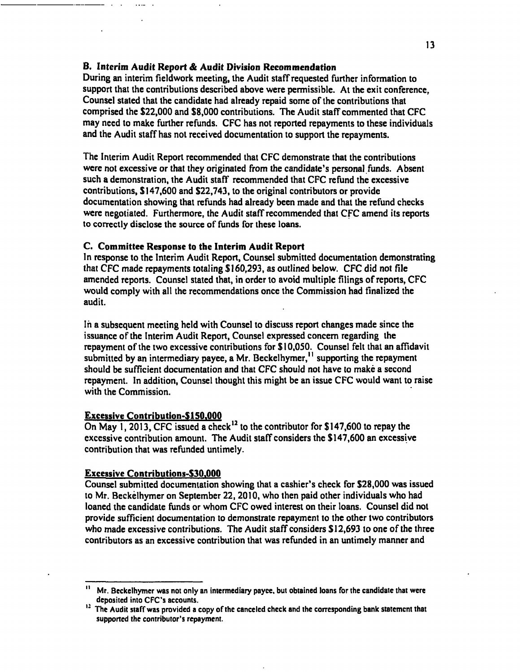#### **B. Interim Audit Report & Audit Division Reeommendation**

During an interim fieldwork meeting, the Audit staff requested further information to support that the contributions described above were permissible. At the exit conference, Counsel stated that the candidate had already repaid some of the contributions that comprised the \$22,000 and \$8,000 contributions. The Audit staff commented that CFG may need to make further refunds. CFG has not reported repayments to these individuals and the Audit staff has not received documentation to support the repayments.

The Interim Audit Report recommended that GFG demonstrate that the contributions were not excessive or that they originated from the candidate's personal funds. Absent such a demonstration, the Audit staff recommended that GFG refund the excessive contributions, \$147,600 and \$22,743, to the original contributors or provide documentation showing that refunds had already been made and that the refund checks were negotiated. Furthermore, the Audit staff recommended that GFG amend its reports to correctly disclose the source of funds for these loans.

#### **C. Committee Response to the Interim Audit Report**

In response to the Interim Audit Report, Counsel submitted documentation demonstrating that GFG made repayments totaling \$160,293, as outlined below. GFG did not file amended reports. Counsel stated that, in order to avoid multiple filings of reports, GFG would comply with all the recommendations once the Commission had finalized the audit.

In a subsequent meeting held with Counsel to discuss report changes made since the issuance of the Interim Audit Report, Counsel expressed concern regarding the repayment of the two excessive contributions for \$10,050. Counsel felt that an affidavit submitted by an intermediary payee, a Mr. Beckelhymer,<sup> $11$ </sup> supporting the repayment should be sufficient documentation and that GFG should not have to make a second repayment. In addition. Counsel thought this might be an issue GFG would want to raise with the Commission.

## **Excessive Contribution-\$150.000**

On May 1, 2013, CFC issued a check<sup>12</sup> to the contributor for \$147,600 to repay the excessive contribution amount. The Audit staff considers the \$147,600 an excessive contribution that was refunded untimely.

#### **Excessive Contributions-\$30.000**

Counsel submitted documentation showing that a cashier's check for \$28,000 was issued to Mr. Beckelhymer on September 22, 2010, who then paid other individuals who had loaned the candidate funds or whom GFG owed interest on their loans. Counsel did not provide sufficient documentation to demonstrate repayment to the other two contributors who made excessive contributions. The Audit staff considers \$12,693 to one of the three contributors as an excessive contribution that was refunded in an untimely manner and

**II Mr. Beckelhymer was not only an intermediary payee, but obtained loans for the candidate that were deposited into CFC's accounts.** 

<sup>&</sup>lt;sup>12</sup> The Audit staff was provided a copy of the canceled check and the corresponding bank statement that **supponed the contributor's repayment.**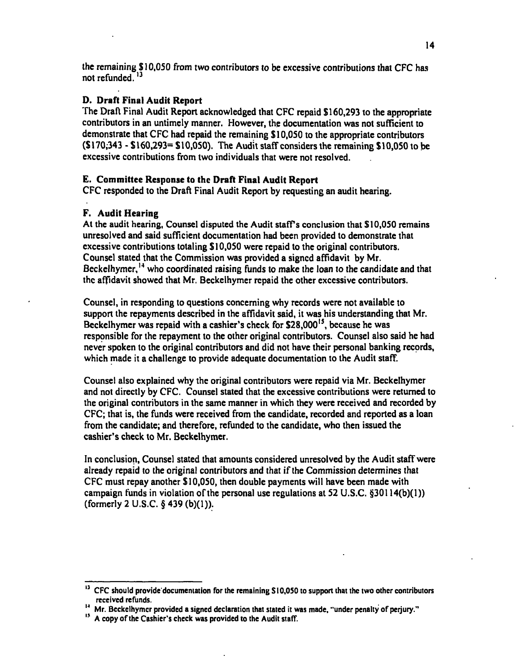the remaining \$ 10,050 from two contributors to be excessive contributions that CFC has not refunded.<sup>13</sup>

# **D. Draft Final Audit Report**

The Draft Final Audit Report acknowledged that CFC repaid \$160,293 to the appropriate contributors in an untimely manner. However, the documentation was not sufficient to demonstrate that CFC had repaid the remaining \$10,050 to the appropriate contributors (\$170,343 - \$160,293= \$10,050). The Audit staff considers the remaining \$10,050 to be excessive contributions from two individuals that were not resolved.

# **E. Committee Response to the Draft Final Audit Report**

CFC responded to the Draft Final Audit Report by requesting an audit hearing.

# **F. Audit Hearing**

At the audit hearing. Counsel disputed the Audit staff's conclusion that \$10,050 remains unresolved and said sufficient documentation had been provided to demonstrate that excessive contributions totaling \$10,050 were repaid to the original contributors. Counsel stated that the Commission was provided a signed affidavit by Mr. Beckelhymer,<sup>14</sup> who coordinated raising funds to make the loan to the candidate and that the affidavit showed that Mr. Beckelhymer repaid the other excessive contributors.

Counsel, in responding to questions concerning why records were not available to support the repayments described in the affidavit said, it was his understanding that Mr. Beckelhymer was repaid with a cashier's check for  $$28,000^{15}$ , because he was responsible for the repayment to the other original contributors. Counsel also said he had never spoken to the original contributors and did not have their personal banking records, which made it a challenge to provide adequate documentation to the Audit staff.

Counsel also explained why the original contributors were repaid via Mr. Beckelhymer and not directly by CFC. Counsel stated that the excessive contributions were returned to the original contributors in the same manner in which they were received and recorded by CFC; that is, the funds were received from the candidate, recorded and reported as a loan from the candidate; and therefore, refunded to the candidate, who then issued the cashier's check to Mr. Beckelhymer.

In conclusion. Counsel stated that amounts considered unresolved by the Audit staff were already repaid to the original contributors and that if the Commission determines that CFC must repay another \$10,050, then double payments will have been made with campaign funds in violation of the personal use regulations at 52 U.S.C. §30114(b)(1)) (formerly 2 U.S.C. § 439 (b)(1)).

**ij CFC should prcvide'documeniation for the remaining S 10,050 to support that the two other contributors received refunds.** 

**Mr. Beckelhymer provided a signed declaration that stated it was made, "under penalty of perjury."** 

**A copy of the Cashier's check was provided to the Audit staff.**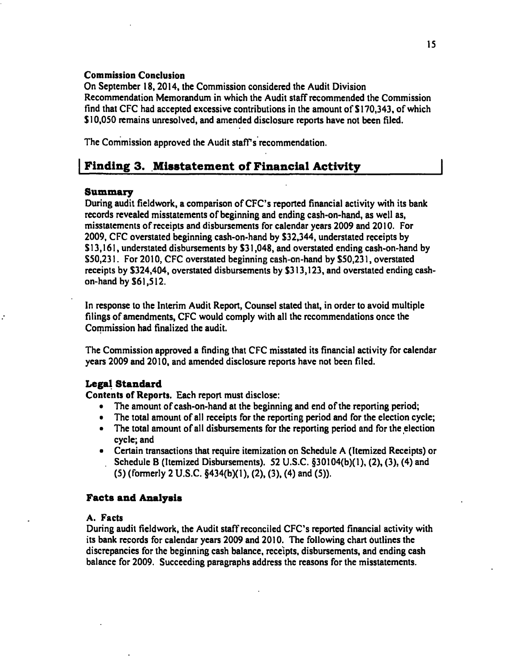#### Commission Conclusion

On September 18,2014, the Commission considered the Audit Division Recommendation Memorandum in which the Audit staff recommended the Commission find that CFG had accepted excessive contributions in the amount of SI 70,343, of which \$ 10,050 remains unresolved, and amended disclosure reports have not been filed.

The Commission approved the Audit staff's recommendation.

# Finding 3. Misstatement of Financial Activity

## **Summary**

During audit fieldwork, a comparison of CFC's reported financial activity with its bank records revealed misstatements of beginning and ending cash-on-hand, as well as, misstatements of receipts and disbursements for calendar years 2009 and 2010. For 2009, CFG overstated beginning cash-on-hand by S32,344, understated receipts by SI3,161, understated disbursements by S31,048, and overstated ending cash-on-hand by S50,231. For 2010, GFG overstated beginning cash-on-hand by S50,231, overstated receipts by S324,404, overstated disbursements by S313,123, and overstated ending cashon-hand by S61,512.

In response to the Interim Audit Report, Counsel stated that, in order to avoid multiple filings of amendments, GFG would comply with all the recommendations once the Commission had finalized the audit.

The Commission approved a finding that GFG misstated its financial activity for calendar years 2009 and 2010, and amended disclosure reports have not been filed.

# **Legal Standard**

Contents of Reports. Each report must disclose:

- The amount of cash-on-hand at the beginning and end of the reporting period;
- The total amount of all receipts for the reporting period and for the election cycle;
- The total amount of all disbursements for the reporting period and for the election cycle; and
- Certain transactions that require itemization on Schedule A (Itemized Receipts) or Schedule B (Itemized Disbursements). 52 U.S.G. §30104(b)(l), (2), (3), (4) and (5) (formerly 2 U.S.G. §434(b)(l). (2), (3), (4) and (5)).

# **Facts and Analysis**

## A. Facts

During audit fieldwork, the Audit staff reconciled CFC's reported financial activity with its bank records for calendar years 2009 and 2010. The following chart outlines the discrepancies for the beginning cash balance, receipts, disbursements, and ending cash balance for 2009. Succeeding paragraphs address the reasons for the misstatements.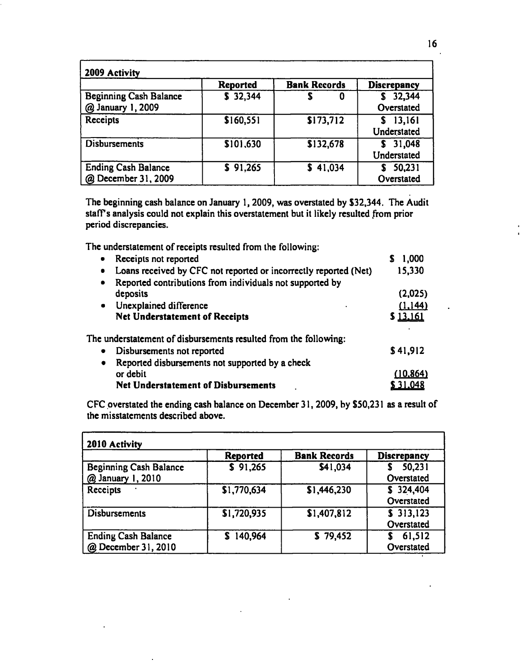| 2009 Activity                                        |                 |                     |                         |
|------------------------------------------------------|-----------------|---------------------|-------------------------|
|                                                      | <b>Reported</b> | <b>Bank Records</b> | <b>Discrepancy</b>      |
| <b>Beginning Cash Balance</b><br>@ January 1, 2009   | \$32,344        | 0                   | 32,344<br>Overstated    |
| Receipts                                             | \$160,551       | \$173,712           | \$13,161<br>Understated |
| <b>Disbursements</b>                                 | \$101,630       | \$132,678           | \$31,048<br>Understated |
| <b>Ending Cash Balance</b><br>December 31, 2009<br>@ | \$91,265        | 41,034<br>S.        | 50,231<br>Overstated    |

The beginning cash balance on January 1,2009, was overstated by S32,344. The Audit staffs analysis could not explain this overstatement but it likely resulted from prior period discrepancies.

The understatement of receipts resulted from the following;

| Receipts not reported<br>٠                                            | 1,000     |
|-----------------------------------------------------------------------|-----------|
| Loans received by CFC not reported or incorrectly reported (Net)<br>٠ | 15,330    |
| Reported contributions from individuals not supported by<br>٠         |           |
| deposits                                                              | (2,025)   |
| Unexplained difference<br>$\bullet$                                   | (1,144)   |
| <b>Net Understatement of Receipts</b>                                 | \$13,161  |
| The understatement of disbursements resulted from the following:      |           |
| Disbursements not reported<br>٠                                       | \$41,912  |
| Reported disbursements not supported by a check<br>$\bullet$          |           |
| or debit                                                              | (10, 864) |
| <b>Net Understatement of Disbursements</b>                            | 31,048 ه  |
|                                                                       |           |

CFC overstated the ending cash balance on December 31,2009, by \$50,231 as a result of the misstatements described above.

| 2010 Activity                                      | <b>Reported</b> | <b>Bank Records</b> | <b>Discrepancy</b>      |
|----------------------------------------------------|-----------------|---------------------|-------------------------|
| <b>Beginning Cash Balance</b><br>@ January 1, 2010 | \$91,265        | \$41,034            | 50,231<br>Overstated    |
| Receipts                                           | \$1,770,634     | \$1,446,230         | \$324,404<br>Overstated |
| Disbursements                                      | \$1,720,935     | \$1,407,812         | \$313,123<br>Overstated |
| <b>Ending Cash Balance</b><br>@ December 31, 2010  | 140,964         | \$79,452            | 61,512<br>Overstated    |

÷,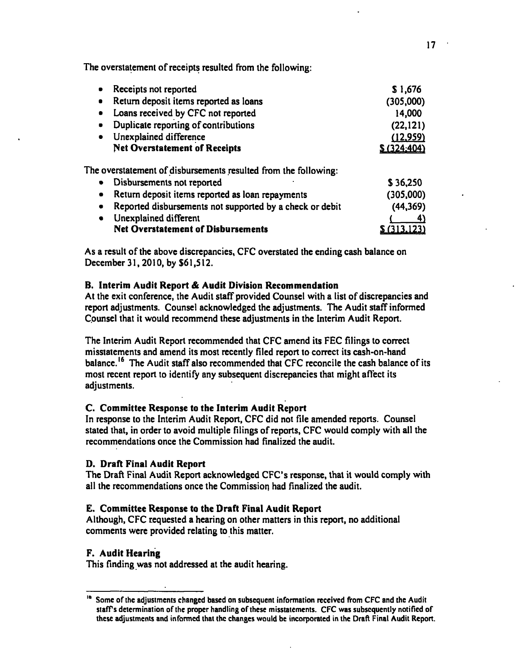The overstatement of receipts resulted from the following:

| Receipts not reported<br>$\bullet$                                    | \$1,676     |
|-----------------------------------------------------------------------|-------------|
| Return deposit items reported as loans<br>$\bullet$                   | (305,000)   |
| Loans received by CFC not reported<br>$\bullet$                       | 14,000      |
| Duplicate reporting of contributions<br>$\bullet$                     | (22, 121)   |
| Unexplained difference<br>$\bullet$                                   | (12,959)    |
| <b>Net Overstatement of Receipts</b>                                  | \$(324:404) |
| The overstatement of disbursements resulted from the following:       |             |
| Disbursements not reported<br>$\bullet$                               | \$36,250    |
| Return deposit items reported as loan repayments<br>$\bullet$         | (305,000)   |
| Reported disbursements not supported by a check or debit<br>$\bullet$ | (44, 369)   |
| Unexplained different<br>٠                                            |             |
|                                                                       |             |

Net Overstatement of Disbursements S (313.123)

As a result of the above discrepancies, CFC overstated the ending cash balance on December 31, 2010, by \$61,512.

## **B. Interim Audit Report & Audit Division Recommendation**

At the exit conference, the Audit staff provided Counsel with a list of discrepancies and report adjustments. Counsel acknowledged the adjustments. The Audit staff informed Counsel that it would recommend these adjustments in the Interim Audit Report.

The Interim Audit Report recommended that CFC amend its FEC filings to correct misstatements and amend its most recently filed report to correct its cash-on-hand balance.<sup>16</sup> The Audit staff also recommended that CFC reconcile the cash balance of its most recent report to identify any subsequent discrepancies that might affect its adjustments.

## **C. Committee Response to the Interim Audit Report**

In response to the Interim Audit Report, CFC did not file amended reports. Counsel stated that, in order to avoid multiple filings of reports, CFC would comply with all the recommendations once the Commission had finalized the audit.

## **D. Draft Final Audit Report**

The Draft Final Audit Report acknowledged CFC's response, that it would comply with all the recommendations once the Commission had finalized the audit.

## **E. Committee Response to the Draft Final Audit Report**

Although, CFC requested a hearing on other matters in this report, no additional comments were provided relating to this matter.

# **F. Audit Hearing**

This finding was not addressed at the audit hearing.

**<sup>&</sup>quot; Some of the adjustments changed based on subsequent information received from CFC and the Audit staffs determination of the proper handling of these misstatements. CFC was subsequently notified of these adjustments and informed that the changes would be incorporated in the Draft Final Audit Report.**